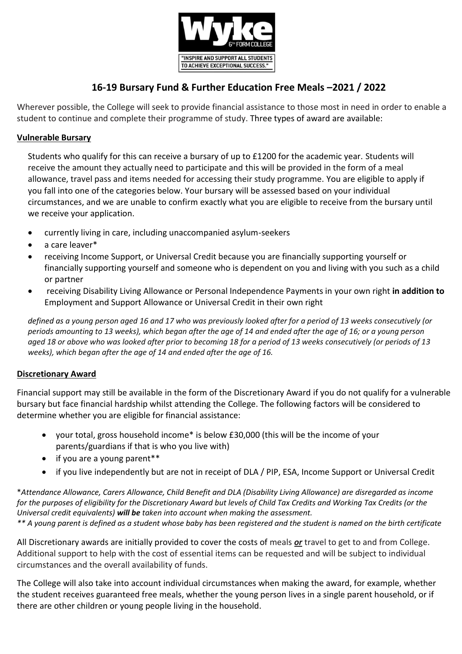

# **16-19 Bursary Fund & Further Education Free Meals –2021 / 2022**

Wherever possible, the College will seek to provide financial assistance to those most in need in order to enable a student to continue and complete their programme of study. Three types of award are available:

# **Vulnerable Bursary**

Students who qualify for this can receive a bursary of up to £1200 for the academic year. Students will receive the amount they actually need to participate and this will be provided in the form of a meal allowance, travel pass and items needed for accessing their study programme. You are eligible to apply if you fall into one of the categories below. Your bursary will be assessed based on your individual circumstances, and we are unable to confirm exactly what you are eligible to receive from the bursary until we receive your application.

- currently living in care, including unaccompanied asylum-seekers
- a care leaver\*
- receiving Income Support, or Universal Credit because you are financially supporting yourself or financially supporting yourself and someone who is dependent on you and living with you such as a child or partner
- receiving Disability Living Allowance or Personal Independence Payments in your own right **in addition to** Employment and Support Allowance or Universal Credit in their own right

*defined as a young person aged 16 and 17 who was previously looked after for a period of 13 weeks consecutively (or periods amounting to 13 weeks), which began after the age of 14 and ended after the age of 16; or a young person aged 18 or above who was looked after prior to becoming 18 for a period of 13 weeks consecutively (or periods of 13 weeks), which began after the age of 14 and ended after the age of 16.*

# **Discretionary Award**

Financial support may still be available in the form of the Discretionary Award if you do not qualify for a vulnerable bursary but face financial hardship whilst attending the College. The following factors will be considered to determine whether you are eligible for financial assistance:

- your total, gross household income\* is below £30,000 (this will be the income of your parents/guardians if that is who you live with)
- if you are a young parent\*\*
- if you live independently but are not in receipt of DLA / PIP, ESA, Income Support or Universal Credit

\**Attendance Allowance, Carers Allowance, Child Benefit and DLA (Disability Living Allowance) are disregarded as income for the purposes of eligibility for the Discretionary Award but levels of Child Tax Credits and Working Tax Credits (or the Universal credit equivalents) will be taken into account when making the assessment. \*\* A young parent is defined as a student whose baby has been registered and the student is named on the birth certificate*

All Discretionary awards are initially provided to cover the costs of meals *or* travel to get to and from College. Additional support to help with the cost of essential items can be requested and will be subject to individual circumstances and the overall availability of funds.

The College will also take into account individual circumstances when making the award, for example, whether the student receives guaranteed free meals, whether the young person lives in a single parent household, or if there are other children or young people living in the household.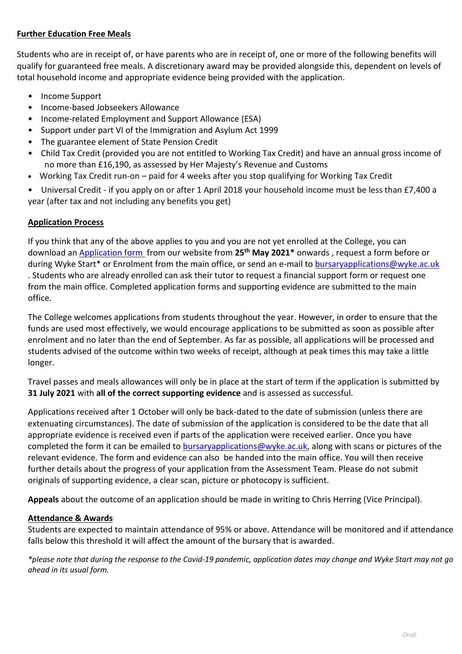# **Further Education Free Meals**

Students who are in receipt of, or have parents who are in receipt of, one or more of the following benefits will qualify for guaranteed free meals. A discretionary award may be provided alongside this, dependent on levels of total household income and appropriate evidence being provided with the application.

- Income Support
- Income-based Jobseekers Allowance
- Income-related Employment and Support Allowance (ESA)
- Support under part VI of the Immigration and Asylum Act 1999
- The guarantee element of State Pension Credit
- Child Tax Credit (provided you are not entitled to Working Tax Credit) and have an annual gross income of no more than £16,190, as assessed by Her Majesty's Revenue and Customs
- Working Tax Credit run-on paid for 4 weeks after you stop qualifying for Working Tax Credit

• Universal Credit - if you apply on or after 1 April 2018 your household income must be less than £7,400 a year (after tax and not including any benefits you get)

# **Application Process**

If you think that any of the above applies to you and you are not yet enrolled at the College, you can download an [Application form](file://///fs01/office/Student%20Guidance%20Service/2016-17/Financial%20Support/Application%20form%20Master.docx) from our website from **25th May 2021\*** onwards , request a form before or during Wyke Start\* or Enrolment from the main office, or send an e-mail to [bursaryapplications@wyke.ac.uk](mailto:bursaryapplications@wyke.ac.uk) . Students who are already enrolled can ask their tutor to request a financial support form or request one from the main office. Completed application forms and supporting evidence are submitted to the main office.

The College welcomes applications from students throughout the year. However, in order to ensure that the funds are used most effectively, we would encourage applications to be submitted as soon as possible after enrolment and no later than the end of September. As far as possible, all applications will be processed and students advised of the outcome within two weeks of receipt, although at peak times this may take a little longer.

Travel passes and meals allowances will only be in place at the start of term if the application is submitted by **31 July 2021** with **all of the correct supporting evidence** and is assessed as successful.

Applications received after 1 October will only be back-dated to the date of submission (unless there are extenuating circumstances). The date of submission of the application is considered to be the date that all appropriate evidence is received even if parts of the application were received earlier. Once you have completed the form it can be emailed t[o bursaryapplications@wyke.ac.uk,](mailto:bursaryapplications@wyke.ac.uk) along with scans or pictures of the relevant evidence. The form and evidence can also be handed into the main office. You will then receive further details about the progress of your application from the Assessment Team. Please do not submit originals of supporting evidence, a clear scan, picture or photocopy is sufficient.

**Appeals** about the outcome of an application should be made in writing to Chris Herring (Vice Principal).

# **Attendance & Awards**

Students are expected to maintain attendance of 95% or above. Attendance will be monitored and if attendance falls below this threshold it will affect the amount of the bursary that is awarded.

*\*please note that during the response to the Covid-19 pandemic, application dates may change and Wyke Start may not go ahead in its usual form.*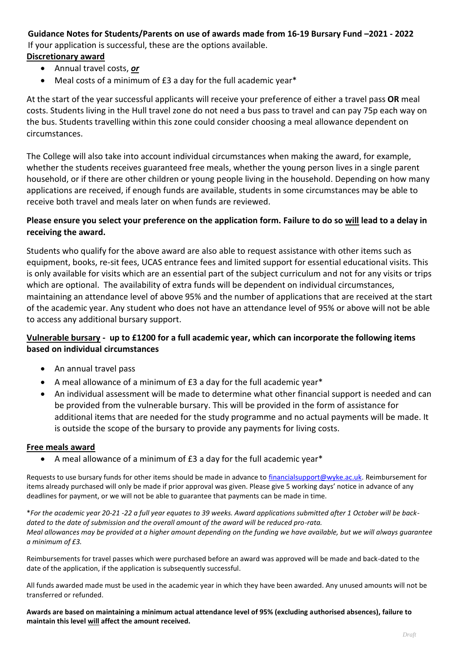# **Guidance Notes for Students/Parents on use of awards made from 16-19 Bursary Fund –2021 - 2022** If your application is successful, these are the options available.

- **Discretionary award**
	- Annual travel costs, *or*
	- Meal costs of a minimum of £3 a day for the full academic year\*

At the start of the year successful applicants will receive your preference of either a travel pass **OR** meal costs. Students living in the Hull travel zone do not need a bus pass to travel and can pay 75p each way on the bus. Students travelling within this zone could consider choosing a meal allowance dependent on circumstances.

The College will also take into account individual circumstances when making the award, for example, whether the students receives guaranteed free meals, whether the young person lives in a single parent household, or if there are other children or young people living in the household. Depending on how many applications are received, if enough funds are available, students in some circumstances may be able to receive both travel and meals later on when funds are reviewed.

# **Please ensure you select your preference on the application form. Failure to do so will lead to a delay in receiving the award.**

Students who qualify for the above award are also able to request assistance with other items such as equipment, books, re-sit fees, UCAS entrance fees and limited support for essential educational visits. This is only available for visits which are an essential part of the subject curriculum and not for any visits or trips which are optional. The availability of extra funds will be dependent on individual circumstances, maintaining an attendance level of above 95% and the number of applications that are received at the start of the academic year. Any student who does not have an attendance level of 95% or above will not be able to access any additional bursary support.

# **Vulnerable bursary - up to £1200 for a full academic year, which can incorporate the following items based on individual circumstances**

- An annual travel pass
- A meal allowance of a minimum of £3 a day for the full academic year\*
- An individual assessment will be made to determine what other financial support is needed and can be provided from the vulnerable bursary. This will be provided in the form of assistance for additional items that are needed for the study programme and no actual payments will be made. It is outside the scope of the bursary to provide any payments for living costs.

### **Free meals award**

A meal allowance of a minimum of £3 a day for the full academic year\*

Requests to use bursary funds for other items should be made in advance to [financialsupport@wyke.ac.uk.](mailto:bursaries@wyke.ac.uk) Reimbursement for items already purchased will only be made if prior approval was given. Please give 5 working days' notice in advance of any deadlines for payment, or we will not be able to guarantee that payments can be made in time.

\**For the academic year 20-21 -22 a full year equates to 39 weeks. Award applications submitted after 1 October will be backdated to the date of submission and the overall amount of the award will be reduced pro-rata. Meal allowances may be provided at a higher amount depending on the funding we have available, but we will always guarantee a minimum of £3.* 

Reimbursements for travel passes which were purchased before an award was approved will be made and back-dated to the date of the application, if the application is subsequently successful.

All funds awarded made must be used in the academic year in which they have been awarded. Any unused amounts will not be transferred or refunded.

**Awards are based on maintaining a minimum actual attendance level of 95% (excluding authorised absences), failure to maintain this level will affect the amount received.**